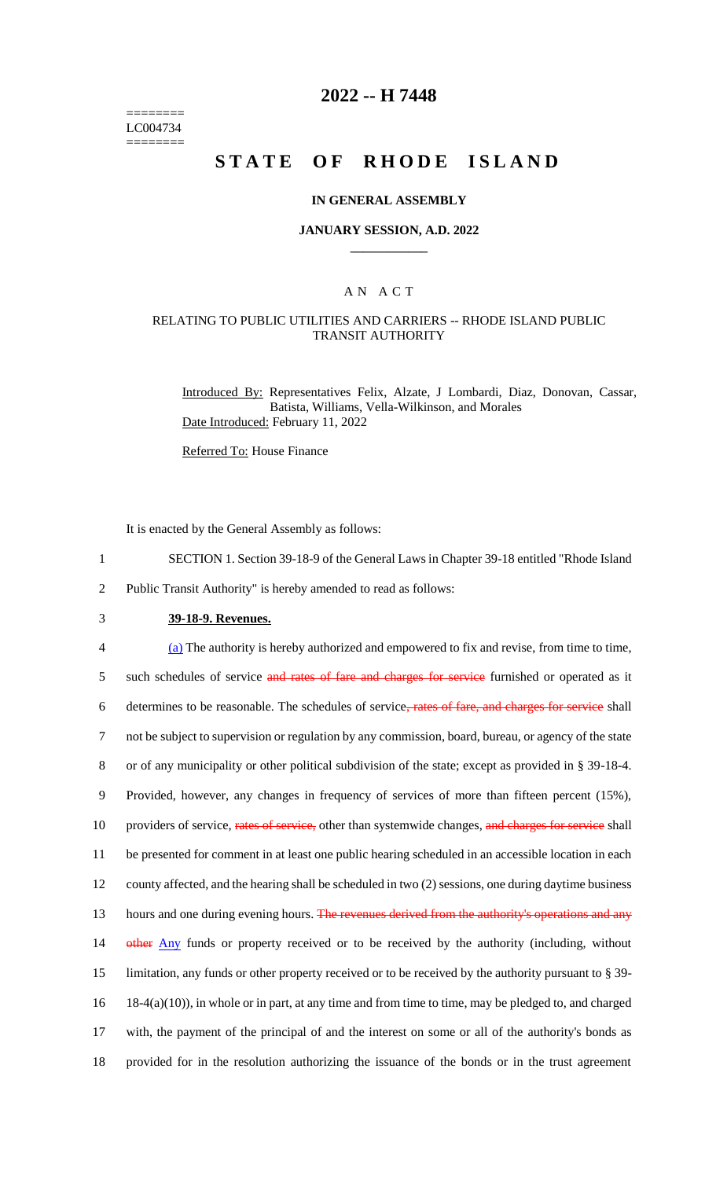======== LC004734 ========

### **2022 -- H 7448**

# **STATE OF RHODE ISLAND**

#### **IN GENERAL ASSEMBLY**

#### **JANUARY SESSION, A.D. 2022 \_\_\_\_\_\_\_\_\_\_\_\_**

#### A N A C T

#### RELATING TO PUBLIC UTILITIES AND CARRIERS -- RHODE ISLAND PUBLIC TRANSIT AUTHORITY

Introduced By: Representatives Felix, Alzate, J Lombardi, Diaz, Donovan, Cassar, Batista, Williams, Vella-Wilkinson, and Morales Date Introduced: February 11, 2022

Referred To: House Finance

It is enacted by the General Assembly as follows:

- 1 SECTION 1. Section 39-18-9 of the General Laws in Chapter 39-18 entitled "Rhode Island
- 2 Public Transit Authority" is hereby amended to read as follows:
- 3 **39-18-9. Revenues.**

 (a) The authority is hereby authorized and empowered to fix and revise, from time to time, 5 such schedules of service and rates of fare and charges for service furnished or operated as it determines to be reasonable. The schedules of service, rates of fare, and charges for service shall not be subject to supervision or regulation by any commission, board, bureau, or agency of the state or of any municipality or other political subdivision of the state; except as provided in § 39-18-4. Provided, however, any changes in frequency of services of more than fifteen percent (15%), 10 providers of service, rates of service, other than systemwide changes, and charges for service shall be presented for comment in at least one public hearing scheduled in an accessible location in each county affected, and the hearing shall be scheduled in two (2) sessions, one during daytime business 13 hours and one during evening hours. The revenues derived from the authority's operations and any 14 other Any funds or property received or to be received by the authority (including, without limitation, any funds or other property received or to be received by the authority pursuant to § 39- 18-4(a)(10)), in whole or in part, at any time and from time to time, may be pledged to, and charged with, the payment of the principal of and the interest on some or all of the authority's bonds as provided for in the resolution authorizing the issuance of the bonds or in the trust agreement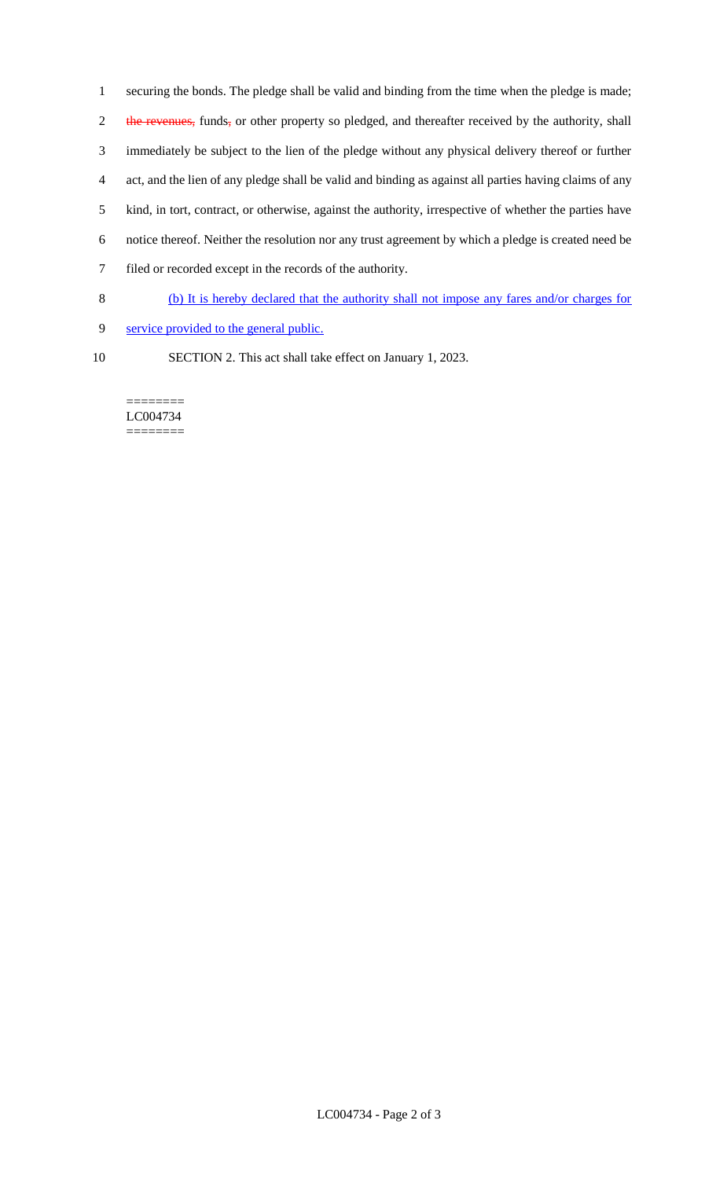securing the bonds. The pledge shall be valid and binding from the time when the pledge is made; 2 the revenues, funds, or other property so pledged, and thereafter received by the authority, shall immediately be subject to the lien of the pledge without any physical delivery thereof or further act, and the lien of any pledge shall be valid and binding as against all parties having claims of any kind, in tort, contract, or otherwise, against the authority, irrespective of whether the parties have notice thereof. Neither the resolution nor any trust agreement by which a pledge is created need be filed or recorded except in the records of the authority.

- 8 (b) It is hereby declared that the authority shall not impose any fares and/or charges for
- 9 service provided to the general public.
- 
- 10 SECTION 2. This act shall take effect on January 1, 2023.

======== LC004734 ========